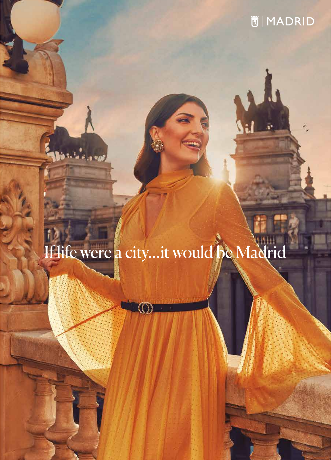## If life were a city...it would be Madrid

 $\circledcirc$ 

**Carlo Cal**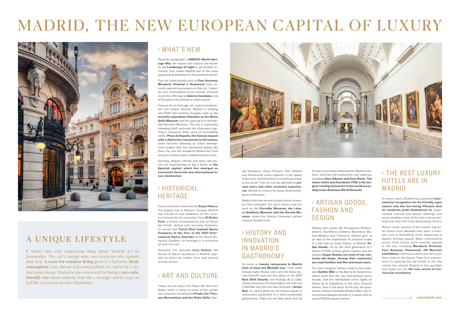### A UNIQUE LIFESTYLE

If there's one truly captivating thing about Madrid, it's its personality. The city's energy wins over everyone who spends time in it. **A taste for outdoor living** gives it a fantastic, **lively atmosphere**. Fun, vibrant and cosmopolitan, it's said to be a city that never sleeps. Madrid is also renowned for being a **very safe, friendly city** where nobody feels like a stranger and it's easy to feel like you're just another Madrileño.

#### › WHAT 'S NEW

Recently designated a **UNESCO World Heritage Site**, the natural and cultural site known as the **Landscape of Light** is yet another attraction that makes Madrid one of the most appealing destinations for the premium sector.

Top-tier hotel brands such as **Four Seasons, Mandarin Oriental o Rosewood** have recently opened new projects in the city. Likewise, new international luxury brands continue to join the offerings at **Galería Canalejas**, one of Europe's most exclusive retail spaces.

#### › HISTORICAL **HERITAGE**

Famous for its heritage, art, cultural programme and unique lifestyle, Madrid is heading into 2022 with exciting changes, such as the **recently expanded collection at the Reina Sofía Museum** and the opening of a remodelled Garment Museum. The city is constantly renewing itself, and even the cityscape is getting a makeover. After years of remodelling works, **Plaza de España, the famous square with a distinctive monument to Cervantes**, looks fantastic following an urban development project that has connected places like Gran Vía and the wonderful Madrid Río Park along an uninterrupted, pedestrianised route.

Dazzling, elegant, vibrant and open, few places are experiencing as big a boom as **the Spanish capital, which has emerged as everyone's favourite new international luxury destination**.

Home to historic sites like the **Royal Palace**, the largest one in Western Europe, Madrid has served as the residence of the country's monarchs for centuries. From **El Retiro Park**, a former royal pleasure site, to Paseo del Prado, dotted with stunning fountains, to venues like **Teatro Real (named Opera Company of the Year at the 2021 International Opera Awards)** to the Royal Botanical Gardens, its heritage is in evidence all over the city.

Recently, the splendid **Liria Palace**, the House of Alba's residence in Madrid, opened its doors for public tours and special private events.

#### › ART AND CULTURE

Today we can enjoy the Paseo del Arte (Art Walk), which is home to some of the world's top museums including the **Prado, the Thyssen-Bornemisza and the Reina Sofía**. See-



ing Velázquez, Goya, Picasso, Dalí, Rubens and Rembrandt come together in the space of just over one kilometre is something unique in the world. Their art can be admired on **private tours and other exclusive experiences** offered to visitors by these three prestigious institutions.

Madrid also has several stately house museums that exemplify the city's history and art, such as the **Cerralbo Museum, the Lázaro-Galdiano Museum and the Sorolla Museum**, where the famous Valencian painter Joaquín Sorolla lived.

#### › HISTORY AND INNOVATION IN MADRID'S GASTRONOMY

As many as **twenty restaurants in Madrid have at least one Michelin star**. Their chefs include Dabiz Muñoz, who runs the three-starred DiverXO and won first place at the 2021 **Best Chef Awards**, and Rodrigo de la Calle, whose restaurant, El Invernadero, not only has a Michelin star but has also received a **Green Star**, an award given by the famous guide to restaurants committed to a more sustainable gastronomy. There can be little doubt that all

of them have been influenced by Madrid's historic, centuries-old restaurants and tabernas, including **Casa Alberto and Casa Botín. The latter, which was founded in 1725, is the longest-running restaurant in the world according to the Guinness World Records**.

#### › ARTISAN GO ODS, FASHION AND DESIGN

Streets with names like Bordadores (Embroiderers), Cuchilleros (Cutlers), Botoneras (Button-Makers) and Tintoreros (Dyers) give us an idea of the importance of artisanal trades in a city with as much history as Madrid. **Felipe Conde**, run by the third generation of a family of 100% artisan guitar-makers, and the famous **Capas Seseña are some of our centuries-old shops. Among their customers are royal families and film and music stars**.

For more designer fashion, head to the exclusive **Golden Mile** in the Barrio de Salamanca, where you'll find the top international luxury brands, and the refurbished Corte Inglés on Paseo de la Castellana, in the city's financial district. Also in the heart of the city, the spectacular Galería Canalejas Madrid offers top international designer brands in a space with an area of 15,000 square metres.

#### › THE BEST LUXURY HOTELS ARE IN MADRID

In recent years, Madrid has garnered **international recognition for its friendly, open nature and the fun-loving lifestyle that its residents pride themselves on**. Unparalleled cultural and leisure offerings and sunny weather most of the year end up winning over even the most demanding visitors.

What's more, several of the world's top hotel chains have decided they want a frontrow seat to everything that's happening in Spain's thriving capital. Major international luxury hotel chains have recently opened in the city, including **Mandarin Oriental, Four Seasons, Rosewood, JW Marriott and Edition**, and many others are set to join their ranks in the future. Their firm commitment to opening the top hotels in the city centre has placed Madrid in the spotlight and made our city **the new centre of tourism par excellence**.

# MADRID, THE NEW EUROPEAN CAPITAL OF LUXURY



**esmadrid.com**